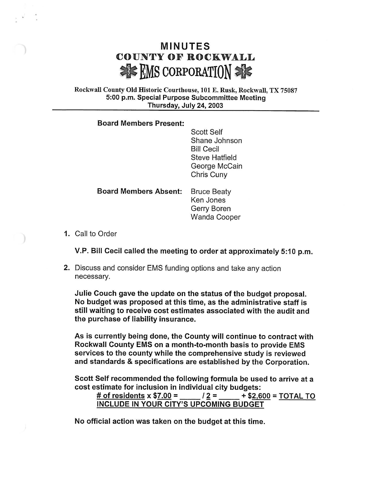## MINUTES COUNTY OF ROCKWALL  $\leq$  FMS corporation

## Rockwall County Old Historic Courthouse, 101 E. Rusk, Rockwall, TX 75087 5: 00 p.m. Special Purpose Subcommittee Meeting Thursday, July 24, 2003

## Board Members Present:

Scott Self Shane Johnson Bill Cecil Steve Hatfield George McCain Chris Cuny

## Board Members Absent: Bruce Beaty Ken Jones Gerry Boren Wanda Cooper

1. Call to Order

V.P. Bill Cecil called the meeting to order at approximately 5: 10 p. m.

2. Discuss and consider EMS funding options and take any action necessary.

Julie Couch gave the update on the status of the budget proposal. No budget was proposed at this time, as the administrative staff is still waiting to receive cost estimates associated with the audit and the purchase of liability insurance.

As is currently being done, the County will continue to contract with Rockwall County EMS on a month -to -month basis to provide EMS services to the county while the comprehensive study is reviewed and standards & specifications are established by the Corporation.

Scott Self recommended the following formula be used to arrive at a cost estimate for inclusion in individual city budgets:<br>  $\frac{\text{# of residents x $7.00} = \_ \text{# 25} + $2,600 = \text{TOTAL TO}}{12}$ 

# of residents x  $$7.00 =$   $/2 =$   $/2 =$ INCLUDE IN YOUR CITY'S UPCOMING BUDGET

No official action was taken on the budget at this time.